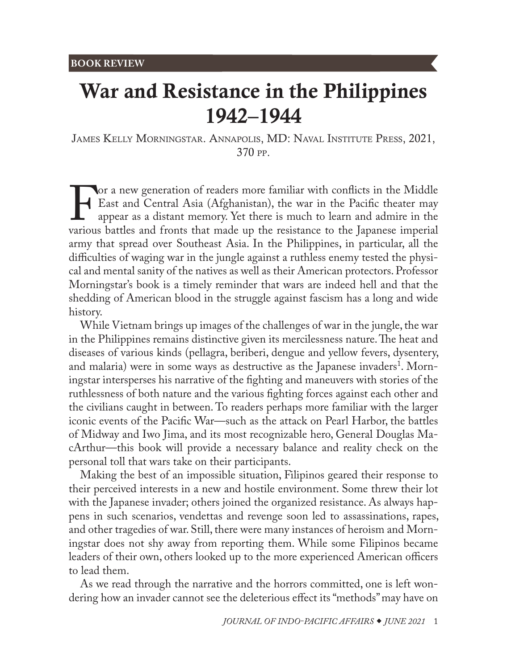## <span id="page-0-0"></span>War and Resistance in the Philippines 1942–1944

James Kelly Morningstar. Annapolis, MD: Naval Institute Press, 2021, 370 pp.

For a new generation of readers more familiar with conflicts in the Middle<br>East and Central Asia (Afghanistan), the war in the Pacific theater may<br>appear as a distant memory. Yet there is much to learn and admire in the<br>va East and Central Asia (Afghanistan), the war in the Pacific theater may appear as a distant memory. Yet there is much to learn and admire in the various battles and fronts that made up the resistance to the Japanese imperial army that spread over Southeast Asia. In the Philippines, in particular, all the difficulties of waging war in the jungle against a ruthless enemy tested the physical and mental sanity of the natives as well as their American protectors. Professor Morningstar's book is a timely reminder that wars are indeed hell and that the shedding of American blood in the struggle against fascism has a long and wide history.

While Vietnam brings up images of the challenges of war in the jungle, the war in the Philippines remains distinctive given its mercilessness nature. The heat and diseases of various kinds (pellagra, beriberi, dengue and yellow fevers, dysentery, and malaria) were in some ways as destructive as the Japanese invaders $^1$  $^1$ . Morningstar intersperses his narrative of the fighting and maneuvers with stories of the ruthlessness of both nature and the various fighting forces against each other and the civilians caught in between. To readers perhaps more familiar with the larger iconic events of the Pacific War—such as the attack on Pearl Harbor, the battles of Midway and Iwo Jima, and its most recognizable hero, General Douglas MacArthur—this book will provide a necessary balance and reality check on the personal toll that wars take on their participants.

Making the best of an impossible situation, Filipinos geared their response to their perceived interests in a new and hostile environment. Some threw their lot with the Japanese invader; others joined the organized resistance. As always happens in such scenarios, vendettas and revenge soon led to assassinations, rapes, and other tragedies of war. Still, there were many instances of heroism and Morningstar does not shy away from reporting them. While some Filipinos became leaders of their own, others looked up to the more experienced American officers to lead them.

As we read through the narrative and the horrors committed, one is left wondering how an invader cannot see the deleterious effect its "methods" may have on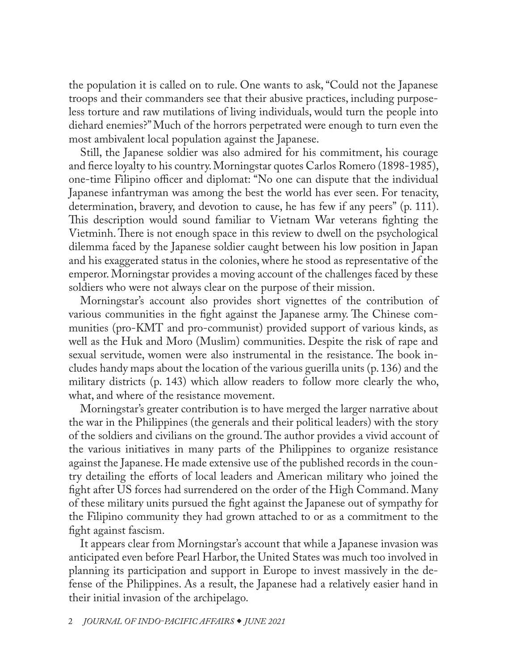the population it is called on to rule. One wants to ask, "Could not the Japanese troops and their commanders see that their abusive practices, including purposeless torture and raw mutilations of living individuals, would turn the people into diehard enemies?" Much of the horrors perpetrated were enough to turn even the most ambivalent local population against the Japanese.

Still, the Japanese soldier was also admired for his commitment, his courage and fierce loyalty to his country. Morningstar quotes Carlos Romero (1898-1985), one-time Filipino officer and diplomat: "No one can dispute that the individual Japanese infantryman was among the best the world has ever seen. For tenacity, determination, bravery, and devotion to cause, he has few if any peers" (p. 111). This description would sound familiar to Vietnam War veterans fighting the Vietminh. There is not enough space in this review to dwell on the psychological dilemma faced by the Japanese soldier caught between his low position in Japan and his exaggerated status in the colonies, where he stood as representative of the emperor. Morningstar provides a moving account of the challenges faced by these soldiers who were not always clear on the purpose of their mission.

Morningstar's account also provides short vignettes of the contribution of various communities in the fight against the Japanese army. The Chinese communities (pro-KMT and pro-communist) provided support of various kinds, as well as the Huk and Moro (Muslim) communities. Despite the risk of rape and sexual servitude, women were also instrumental in the resistance. The book includes handy maps about the location of the various guerilla units (p. 136) and the military districts (p. 143) which allow readers to follow more clearly the who, what, and where of the resistance movement.

Morningstar's greater contribution is to have merged the larger narrative about the war in the Philippines (the generals and their political leaders) with the story of the soldiers and civilians on the ground. The author provides a vivid account of the various initiatives in many parts of the Philippines to organize resistance against the Japanese. He made extensive use of the published records in the country detailing the efforts of local leaders and American military who joined the fight after US forces had surrendered on the order of the High Command. Many of these military units pursued the fight against the Japanese out of sympathy for the Filipino community they had grown attached to or as a commitment to the fight against fascism.

It appears clear from Morningstar's account that while a Japanese invasion was anticipated even before Pearl Harbor, the United States was much too involved in planning its participation and support in Europe to invest massively in the defense of the Philippines. As a result, the Japanese had a relatively easier hand in their initial invasion of the archipelago.